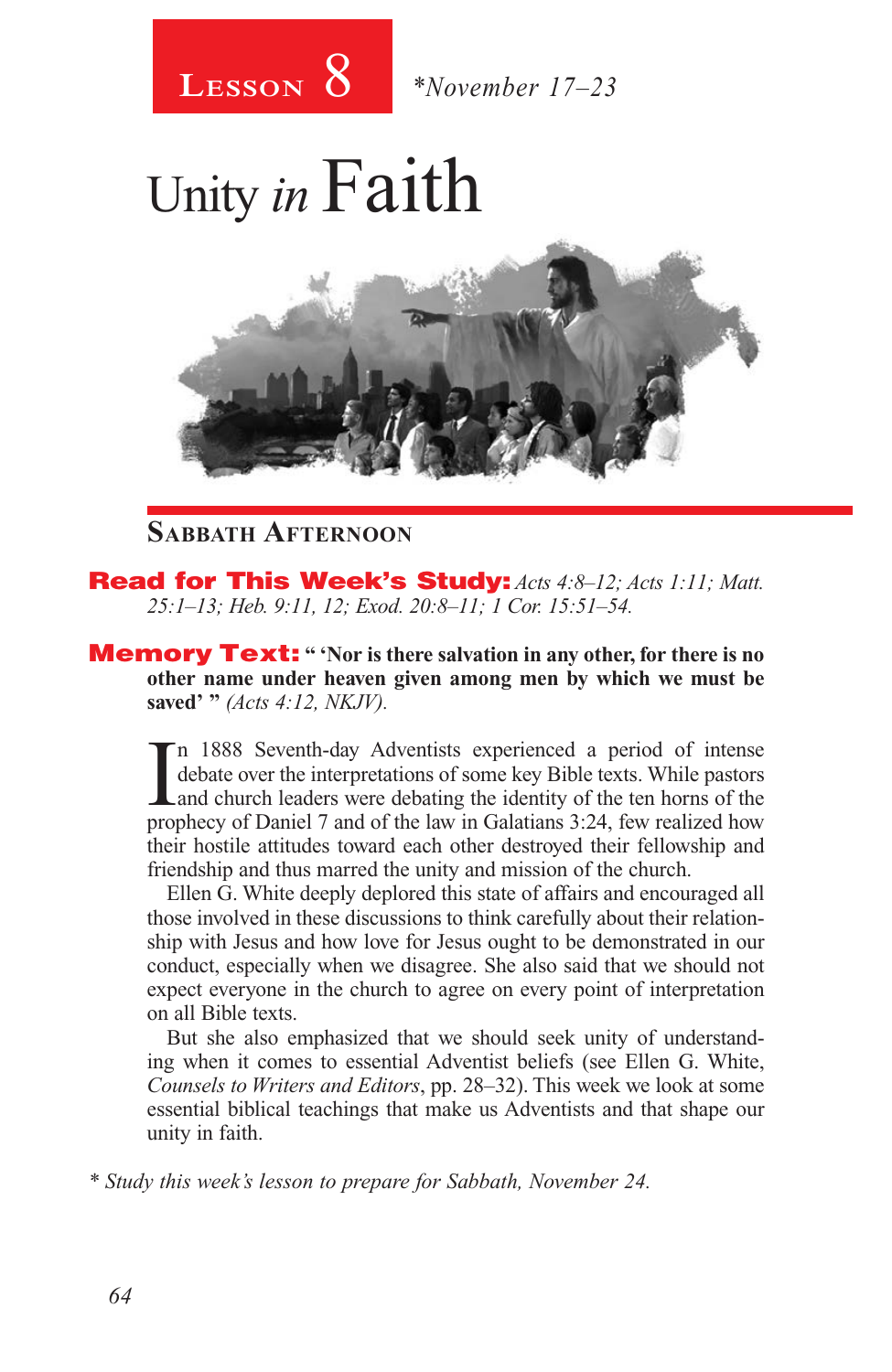

Unity *in* Faith



### **Sabbath Afternoon**

Read for This Week's Study: *Acts 4:8–12; Acts 1:11; Matt. 25:1–13; Heb. 9:11, 12; Exod. 20:8–11; 1 Cor. 15:51–54.*

**Memory Text:** " 'Nor is there salvation in any other, for there is no **other name under heaven given among men by which we must be saved' "** *(Acts 4:12, NKJV).* 

In 1888 Seventh-day Adventists experienced a period of intense debate over the interpretations of some key Bible texts. While pastors and church leaders were debating the identity of the ten horns of the prophecy of Daniel n 1888 Seventh-day Adventists experienced a period of intense debate over the interpretations of some key Bible texts. While pastors and church leaders were debating the identity of the ten horns of the their hostile attitudes toward each other destroyed their fellowship and friendship and thus marred the unity and mission of the church.

Ellen G. White deeply deplored this state of affairs and encouraged all those involved in these discussions to think carefully about their relationship with Jesus and how love for Jesus ought to be demonstrated in our conduct, especially when we disagree. She also said that we should not expect everyone in the church to agree on every point of interpretation on all Bible texts.

But she also emphasized that we should seek unity of understanding when it comes to essential Adventist beliefs (see Ellen G. White, *Counsels to Writers and Editors*, pp. 28–32). This week we look at some essential biblical teachings that make us Adventists and that shape our unity in faith.

*\* Study this week's lesson to prepare for Sabbath, November 24.*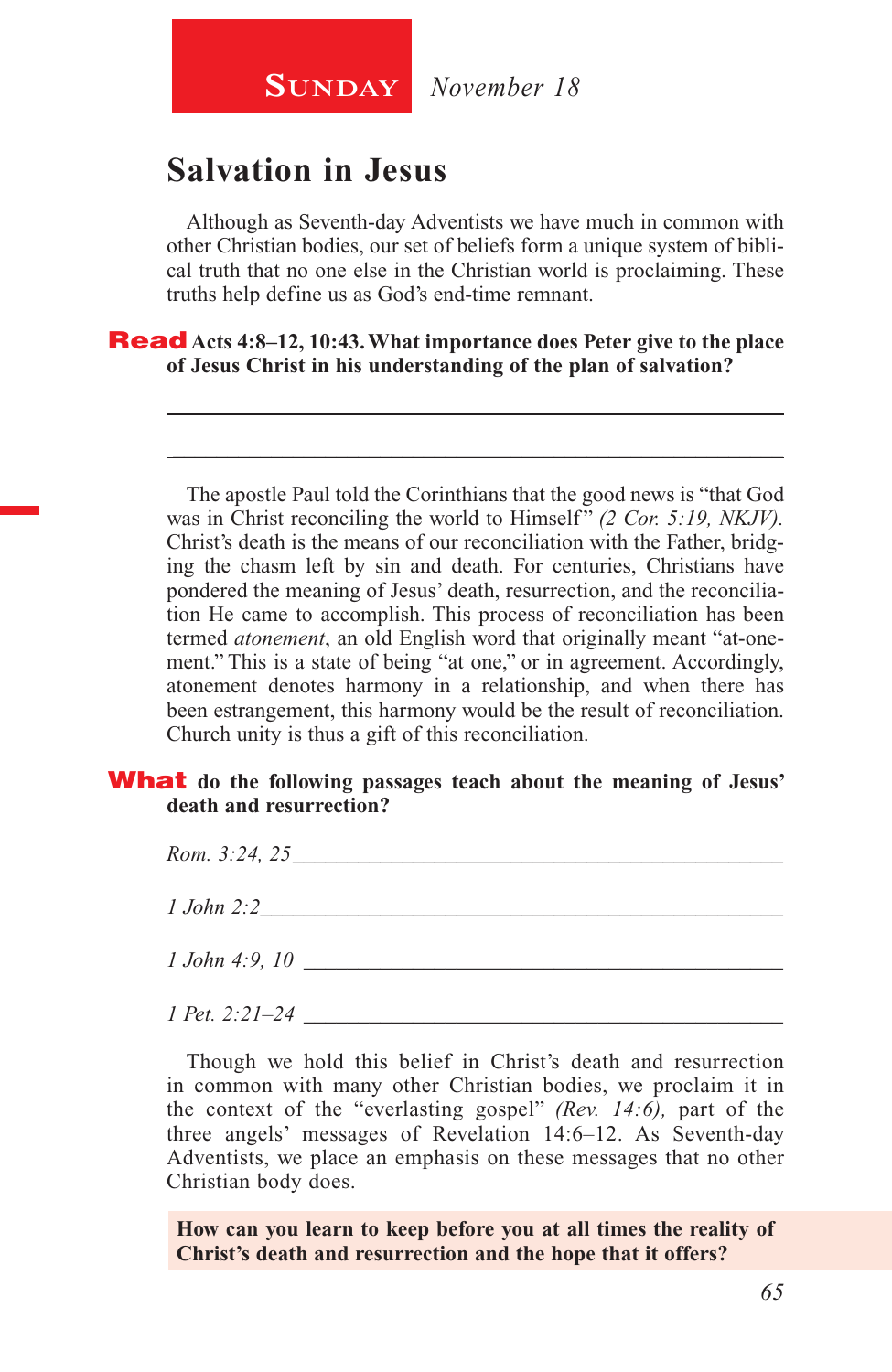## **Salvation in Jesus**

Although as Seventh-day Adventists we have much in common with other Christian bodies, our set of beliefs form a unique system of biblical truth that no one else in the Christian world is proclaiming. These truths help define us as God's end-time remnant.

\_\_\_\_\_\_\_\_\_\_\_\_\_\_\_\_\_\_\_\_\_\_\_\_\_\_\_\_\_\_\_\_\_\_\_\_\_\_\_\_\_\_\_\_\_\_\_\_\_\_\_\_\_\_\_\_

\_\_\_\_\_\_\_\_\_\_\_\_\_\_\_\_\_\_\_\_\_\_\_\_\_\_\_\_\_\_\_\_\_\_\_\_\_\_\_\_\_\_\_\_\_\_\_\_\_\_\_\_\_\_\_\_

Read **Acts 4:8–12, 10:43. What importance does Peter give to the place of Jesus Christ in his understanding of the plan of salvation?**

The apostle Paul told the Corinthians that the good news is "that God was in Christ reconciling the world to Himself" *(2 Cor. 5:19, NKJV)*. Christ's death is the means of our reconciliation with the Father, bridging the chasm left by sin and death. For centuries, Christians have pondered the meaning of Jesus' death, resurrection, and the reconciliation He came to accomplish. This process of reconciliation has been termed *atonement*, an old English word that originally meant "at-onement." This is a state of being "at one," or in agreement. Accordingly, atonement denotes harmony in a relationship, and when there has been estrangement, this harmony would be the result of reconciliation. Church unity is thus a gift of this reconciliation.

#### What **do the following passages teach about the meaning of Jesus' death and resurrection?**

*Rom.* 3:24, 25 *1 John 2:2*\_\_\_\_\_\_\_\_\_\_\_\_\_\_\_\_\_\_\_\_\_\_\_\_\_\_\_\_\_\_\_\_\_\_\_\_\_\_\_\_\_\_\_\_\_\_\_\_ *1 John 4:9, 10* \_\_\_\_\_\_\_\_\_\_\_\_\_\_\_\_\_\_\_\_\_\_\_\_\_\_\_\_\_\_\_\_\_\_\_\_\_\_\_\_\_\_\_\_

*1 Pet. 2:21–24* \_\_\_\_\_\_\_\_\_\_\_\_\_\_\_\_\_\_\_\_\_\_\_\_\_\_\_\_\_\_\_\_\_\_\_\_\_\_\_\_\_\_\_\_

Though we hold this belief in Christ's death and resurrection in common with many other Christian bodies, we proclaim it in the context of the "everlasting gospel" *(Rev. 14:6),* part of the three angels' messages of Revelation 14:6–12. As Seventh-day Adventists, we place an emphasis on these messages that no other Christian body does.

**How can you learn to keep before you at all times the reality of Christ's death and resurrection and the hope that it offers?**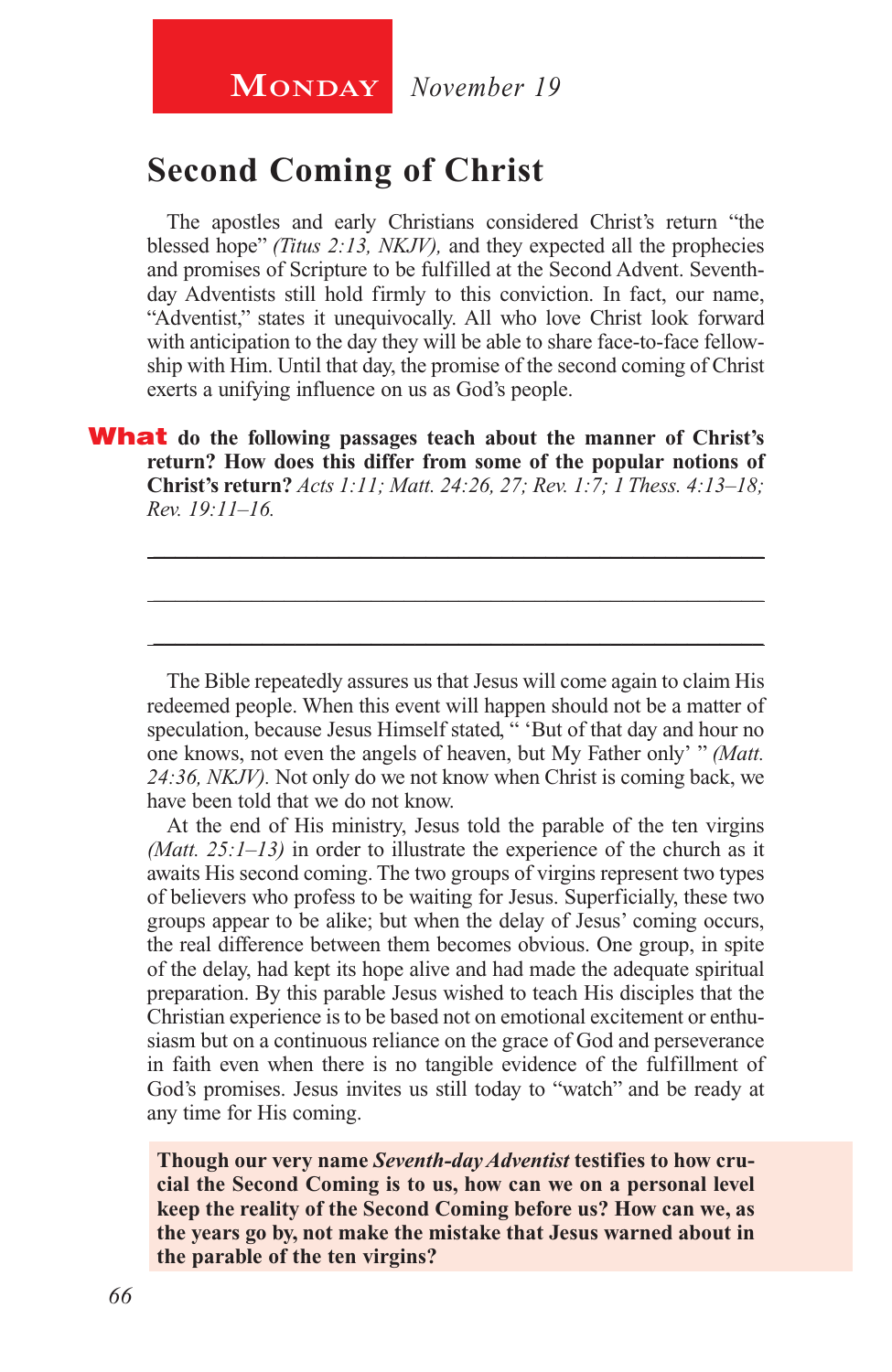### **Second Coming of Christ**

The apostles and early Christians considered Christ's return "the blessed hope" *(Titus 2:13, NKJV),* and they expected all the prophecies and promises of Scripture to be fulfilled at the Second Advent. Seventhday Adventists still hold firmly to this conviction. In fact, our name, "Adventist," states it unequivocally. All who love Christ look forward with anticipation to the day they will be able to share face-to-face fellowship with Him. Until that day, the promise of the second coming of Christ exerts a unifying influence on us as God's people.

What **do the following passages teach about the manner of Christ's return? How does this differ from some of the popular notions of Christ's return?** *Acts 1:11; Matt. 24:26, 27; Rev. 1:7; 1 Thess. 4:13–18; Rev. 19:11–16.*

The Bible repeatedly assures us that Jesus will come again to claim His redeemed people. When this event will happen should not be a matter of speculation, because Jesus Himself stated, " 'But of that day and hour no one knows, not even the angels of heaven, but My Father only' " *(Matt. 24:36, NKJV).* Not only do we not know when Christ is coming back, we have been told that we do not know.

\_\_\_\_\_\_\_\_\_\_\_\_\_\_\_\_\_\_\_\_\_\_\_\_\_\_\_\_\_\_\_\_\_\_\_\_\_\_\_\_\_\_\_\_\_\_\_\_\_\_\_\_\_\_\_\_

\_\_\_\_\_\_\_\_\_\_\_\_\_\_\_\_\_\_\_\_\_\_\_\_\_\_\_\_\_\_\_\_\_\_\_\_\_\_\_\_\_\_\_\_\_\_\_\_\_\_\_\_\_\_\_\_

\_\_\_\_\_\_\_\_\_\_\_\_\_\_\_\_\_\_\_\_\_\_\_\_\_\_\_\_\_\_\_\_\_\_\_\_\_\_\_\_\_\_\_\_\_\_\_\_\_\_\_\_\_\_\_\_

At the end of His ministry, Jesus told the parable of the ten virgins *(Matt. 25:1–13)* in order to illustrate the experience of the church as it awaits His second coming. The two groups of virgins represent two types of believers who profess to be waiting for Jesus. Superficially, these two groups appear to be alike; but when the delay of Jesus' coming occurs, the real difference between them becomes obvious. One group, in spite of the delay, had kept its hope alive and had made the adequate spiritual preparation. By this parable Jesus wished to teach His disciples that the Christian experience is to be based not on emotional excitement or enthusiasm but on a continuous reliance on the grace of God and perseverance in faith even when there is no tangible evidence of the fulfillment of God's promises. Jesus invites us still today to "watch" and be ready at any time for His coming.

**Though our very name** *Seventh-day Adventist* **testifies to how crucial the Second Coming is to us, how can we on a personal level keep the reality of the Second Coming before us? How can we, as the years go by, not make the mistake that Jesus warned about in the parable of the ten virgins?**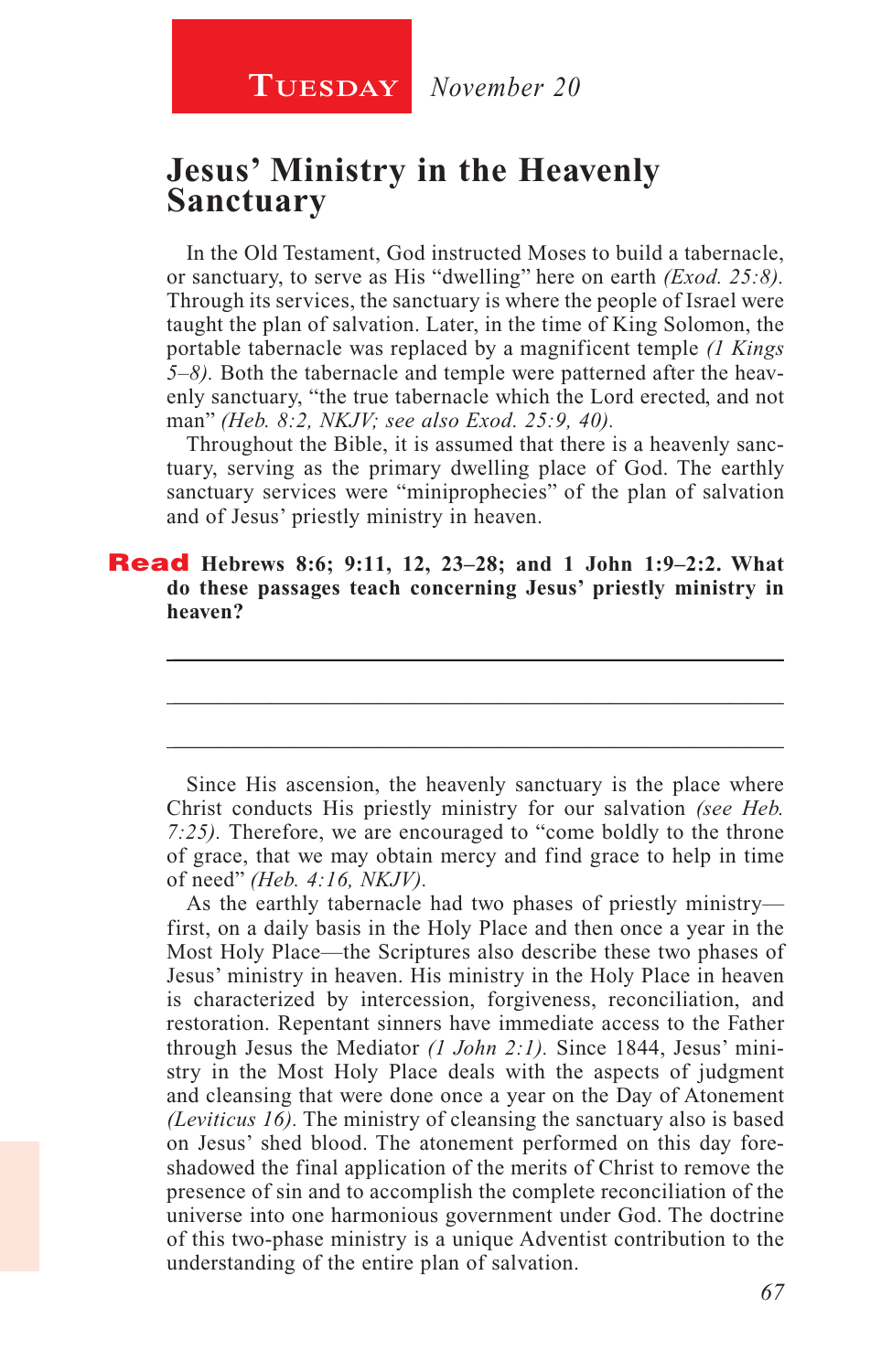### **Jesus' Ministry in the Heavenly Sanctuary**

In the Old Testament, God instructed Moses to build a tabernacle, or sanctuary, to serve as His "dwelling" here on earth *(Exod. 25:8).*  Through its services, the sanctuary is where the people of Israel were taught the plan of salvation. Later, in the time of King Solomon, the portable tabernacle was replaced by a magnificent temple *(1 Kings 5–8).* Both the tabernacle and temple were patterned after the heavenly sanctuary, "the true tabernacle which the Lord erected, and not man" *(Heb. 8:2, NKJV; see also Exod. 25:9, 40).* 

Throughout the Bible, it is assumed that there is a heavenly sanctuary, serving as the primary dwelling place of God. The earthly sanctuary services were "miniprophecies" of the plan of salvation and of Jesus' priestly ministry in heaven.

\_\_\_\_\_\_\_\_\_\_\_\_\_\_\_\_\_\_\_\_\_\_\_\_\_\_\_\_\_\_\_\_\_\_\_\_\_\_\_\_\_\_\_\_\_\_\_\_\_\_\_\_\_\_\_\_

\_\_\_\_\_\_\_\_\_\_\_\_\_\_\_\_\_\_\_\_\_\_\_\_\_\_\_\_\_\_\_\_\_\_\_\_\_\_\_\_\_\_\_\_\_\_\_\_\_\_\_\_\_\_\_\_

\_\_\_\_\_\_\_\_\_\_\_\_\_\_\_\_\_\_\_\_\_\_\_\_\_\_\_\_\_\_\_\_\_\_\_\_\_\_\_\_\_\_\_\_\_\_\_\_\_\_\_\_\_\_\_\_

#### Read **Hebrews 8:6; 9:11, 12, 23–28; and 1 John 1:9–2:2. What do these passages teach concerning Jesus' priestly ministry in heaven?**

Since His ascension, the heavenly sanctuary is the place where Christ conducts His priestly ministry for our salvation *(see Heb. 7:25).* Therefore, we are encouraged to "come boldly to the throne of grace, that we may obtain mercy and find grace to help in time of need" *(Heb. 4:16, NKJV).*

As the earthly tabernacle had two phases of priestly ministry first, on a daily basis in the Holy Place and then once a year in the Most Holy Place—the Scriptures also describe these two phases of Jesus' ministry in heaven. His ministry in the Holy Place in heaven is characterized by intercession, forgiveness, reconciliation, and restoration. Repentant sinners have immediate access to the Father through Jesus the Mediator *(1 John 2:1).* Since 1844, Jesus' ministry in the Most Holy Place deals with the aspects of judgment and cleansing that were done once a year on the Day of Atonement *(Leviticus 16).* The ministry of cleansing the sanctuary also is based on Jesus' shed blood. The atonement performed on this day foreshadowed the final application of the merits of Christ to remove the presence of sin and to accomplish the complete reconciliation of the universe into one harmonious government under God. The doctrine of this two-phase ministry is a unique Adventist contribution to the understanding of the entire plan of salvation.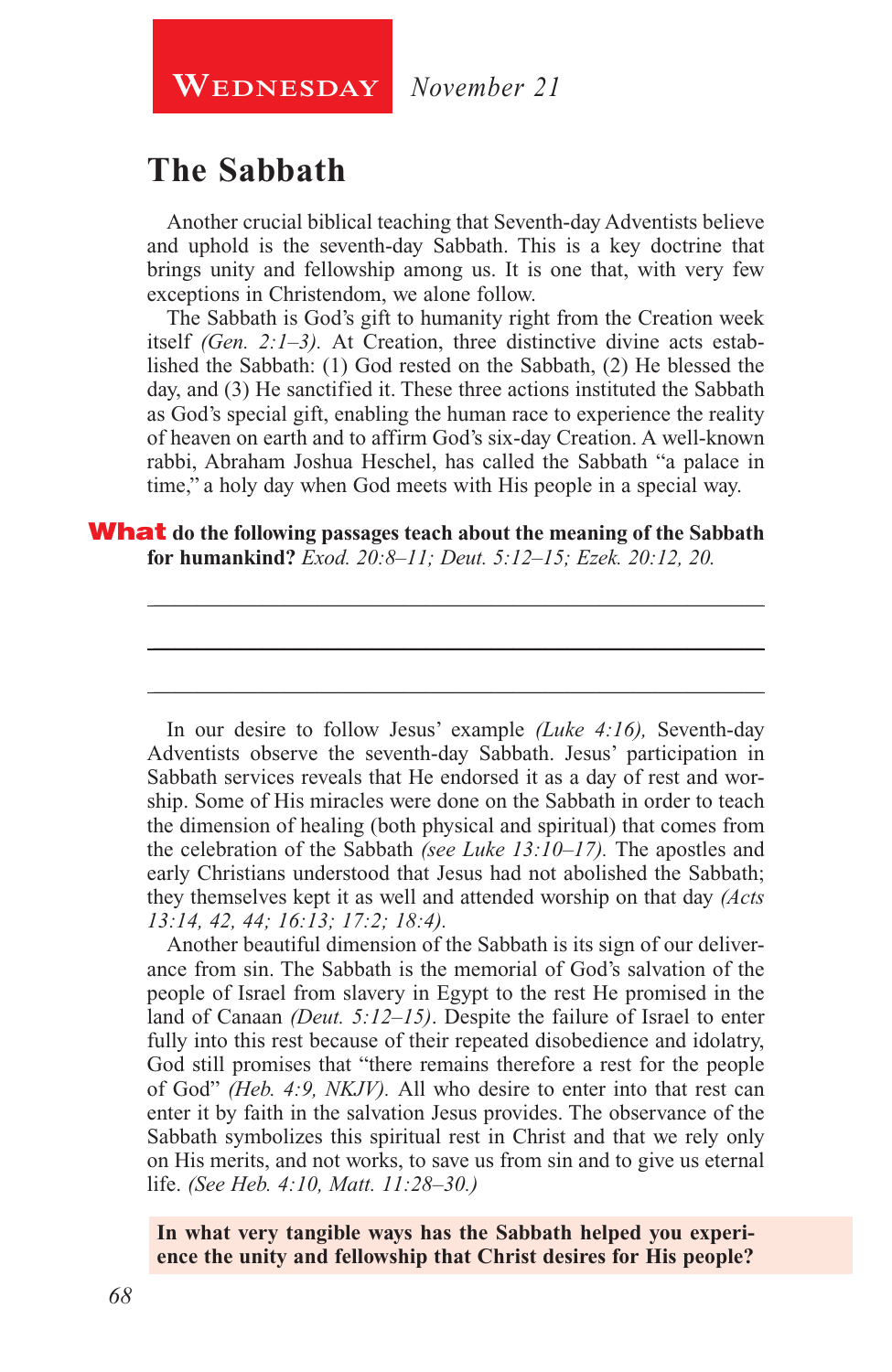**WEDNESDAY** November 21

## **The Sabbath**

Another crucial biblical teaching that Seventh-day Adventists believe and uphold is the seventh-day Sabbath. This is a key doctrine that brings unity and fellowship among us. It is one that, with very few exceptions in Christendom, we alone follow.

The Sabbath is God's gift to humanity right from the Creation week itself *(Gen. 2:1–3).* At Creation, three distinctive divine acts established the Sabbath: (1) God rested on the Sabbath, (2) He blessed the day, and (3) He sanctified it. These three actions instituted the Sabbath as God's special gift, enabling the human race to experience the reality of heaven on earth and to affirm God's six-day Creation. A well-known rabbi, Abraham Joshua Heschel, has called the Sabbath "a palace in time," a holy day when God meets with His people in a special way.

\_\_\_\_\_\_\_\_\_\_\_\_\_\_\_\_\_\_\_\_\_\_\_\_\_\_\_\_\_\_\_\_\_\_\_\_\_\_\_\_\_\_\_\_\_\_\_\_\_\_\_\_\_\_\_\_

\_\_\_\_\_\_\_\_\_\_\_\_\_\_\_\_\_\_\_\_\_\_\_\_\_\_\_\_\_\_\_\_\_\_\_\_\_\_\_\_\_\_\_\_\_\_\_\_\_\_\_\_\_\_\_\_

\_\_\_\_\_\_\_\_\_\_\_\_\_\_\_\_\_\_\_\_\_\_\_\_\_\_\_\_\_\_\_\_\_\_\_\_\_\_\_\_\_\_\_\_\_\_\_\_\_\_\_\_\_\_\_\_

#### What **do the following passages teach about the meaning of the Sabbath for humankind?** *Exod. 20:8–11; Deut. 5:12–15; Ezek. 20:12, 20.*

In our desire to follow Jesus' example *(Luke 4:16),* Seventh-day Adventists observe the seventh-day Sabbath. Jesus' participation in Sabbath services reveals that He endorsed it as a day of rest and worship. Some of His miracles were done on the Sabbath in order to teach the dimension of healing (both physical and spiritual) that comes from the celebration of the Sabbath *(see Luke 13:10–17).* The apostles and early Christians understood that Jesus had not abolished the Sabbath; they themselves kept it as well and attended worship on that day *(Acts 13:14, 42, 44; 16:13; 17:2; 18:4).*

Another beautiful dimension of the Sabbath is its sign of our deliverance from sin. The Sabbath is the memorial of God's salvation of the people of Israel from slavery in Egypt to the rest He promised in the land of Canaan *(Deut. 5:12–15)*. Despite the failure of Israel to enter fully into this rest because of their repeated disobedience and idolatry, God still promises that "there remains therefore a rest for the people of God" *(Heb. 4:9, NKJV).* All who desire to enter into that rest can enter it by faith in the salvation Jesus provides. The observance of the Sabbath symbolizes this spiritual rest in Christ and that we rely only on His merits, and not works, to save us from sin and to give us eternal life. *(See Heb. 4:10, Matt. 11:28–30.)*

**In what very tangible ways has the Sabbath helped you experience the unity and fellowship that Christ desires for His people?**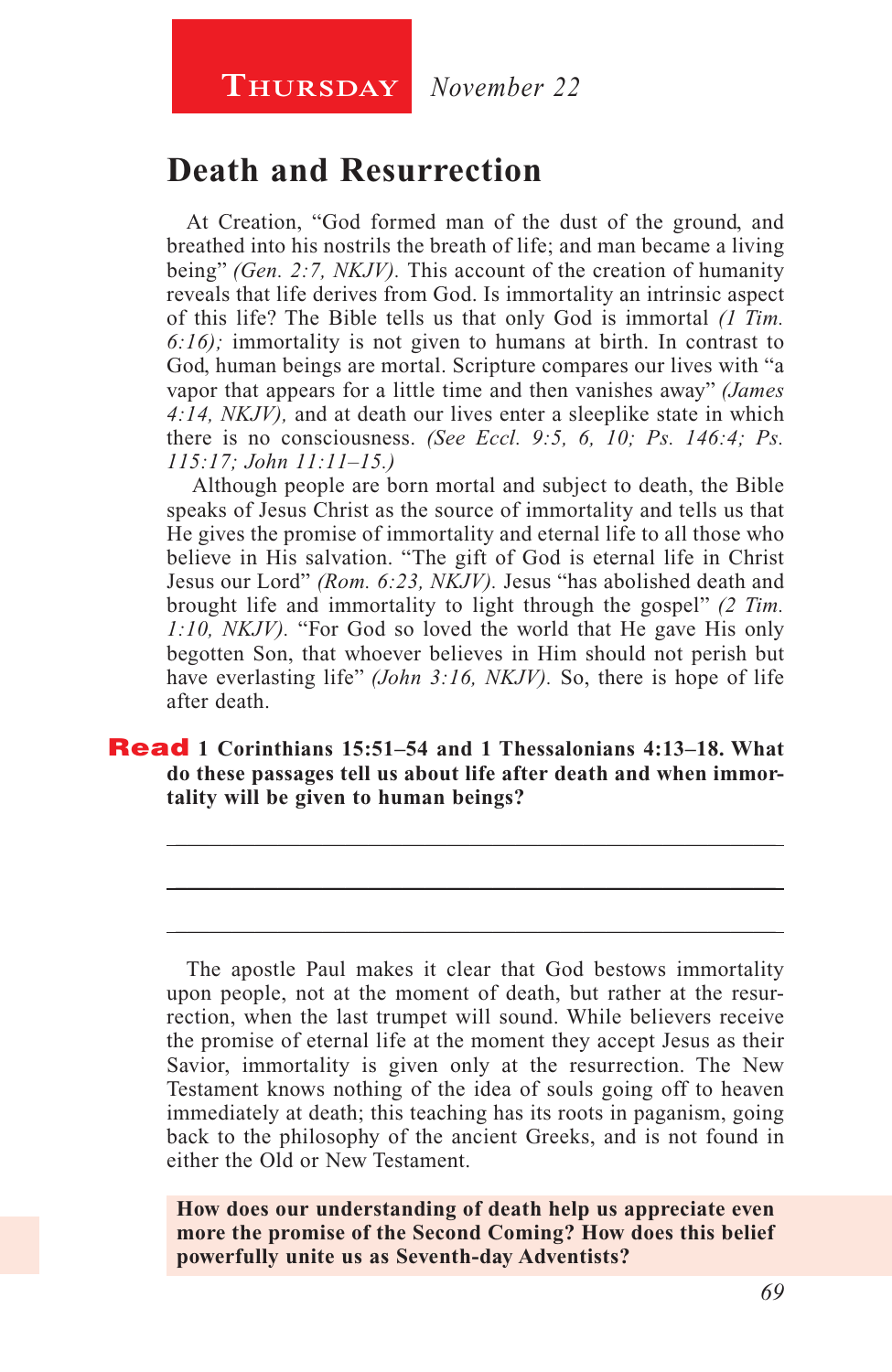### **Death and Resurrection**

At Creation, "God formed man of the dust of the ground, and breathed into his nostrils the breath of life; and man became a living being" *(Gen. 2:7, NKJV).* This account of the creation of humanity reveals that life derives from God. Is immortality an intrinsic aspect of this life? The Bible tells us that only God is immortal *(1 Tim. 6:16);* immortality is not given to humans at birth. In contrast to God, human beings are mortal. Scripture compares our lives with "a vapor that appears for a little time and then vanishes away" *(James 4:14, NKJV),* and at death our lives enter a sleeplike state in which there is no consciousness. *(See Eccl. 9:5, 6, 10; Ps. 146:4; Ps. 115:17; John 11:11–15.)*

 Although people are born mortal and subject to death, the Bible speaks of Jesus Christ as the source of immortality and tells us that He gives the promise of immortality and eternal life to all those who believe in His salvation. "The gift of God is eternal life in Christ Jesus our Lord" *(Rom. 6:23, NKJV).* Jesus "has abolished death and brought life and immortality to light through the gospel" *(2 Tim. 1:10, NKJV).* "For God so loved the world that He gave His only begotten Son, that whoever believes in Him should not perish but have everlasting life" *(John 3:16, NKJV)*. So, there is hope of life after death.

#### Read **1 Corinthians 15:51–54 and 1 Thessalonians 4:13–18. What do these passages tell us about life after death and when immortality will be given to human beings?**

\_\_\_\_\_\_\_\_\_\_\_\_\_\_\_\_\_\_\_\_\_\_\_\_\_\_\_\_\_\_\_\_\_\_\_\_\_\_\_\_\_\_\_\_\_\_\_\_\_\_\_\_\_

\_\_\_\_\_\_\_\_\_\_\_\_\_\_\_\_\_\_\_\_\_\_\_\_\_\_\_\_\_\_\_\_\_\_\_\_\_\_\_\_\_\_\_\_\_\_\_\_\_\_\_\_\_

\_\_\_\_\_\_\_\_\_\_\_\_\_\_\_\_\_\_\_\_\_\_\_\_\_\_\_\_\_\_\_\_\_\_\_\_\_\_\_\_\_\_\_\_\_\_\_\_\_\_\_\_\_

The apostle Paul makes it clear that God bestows immortality upon people, not at the moment of death, but rather at the resurrection, when the last trumpet will sound. While believers receive the promise of eternal life at the moment they accept Jesus as their Savior, immortality is given only at the resurrection. The New Testament knows nothing of the idea of souls going off to heaven immediately at death; this teaching has its roots in paganism, going back to the philosophy of the ancient Greeks, and is not found in either the Old or New Testament.

**How does our understanding of death help us appreciate even more the promise of the Second Coming? How does this belief powerfully unite us as Seventh-day Adventists?**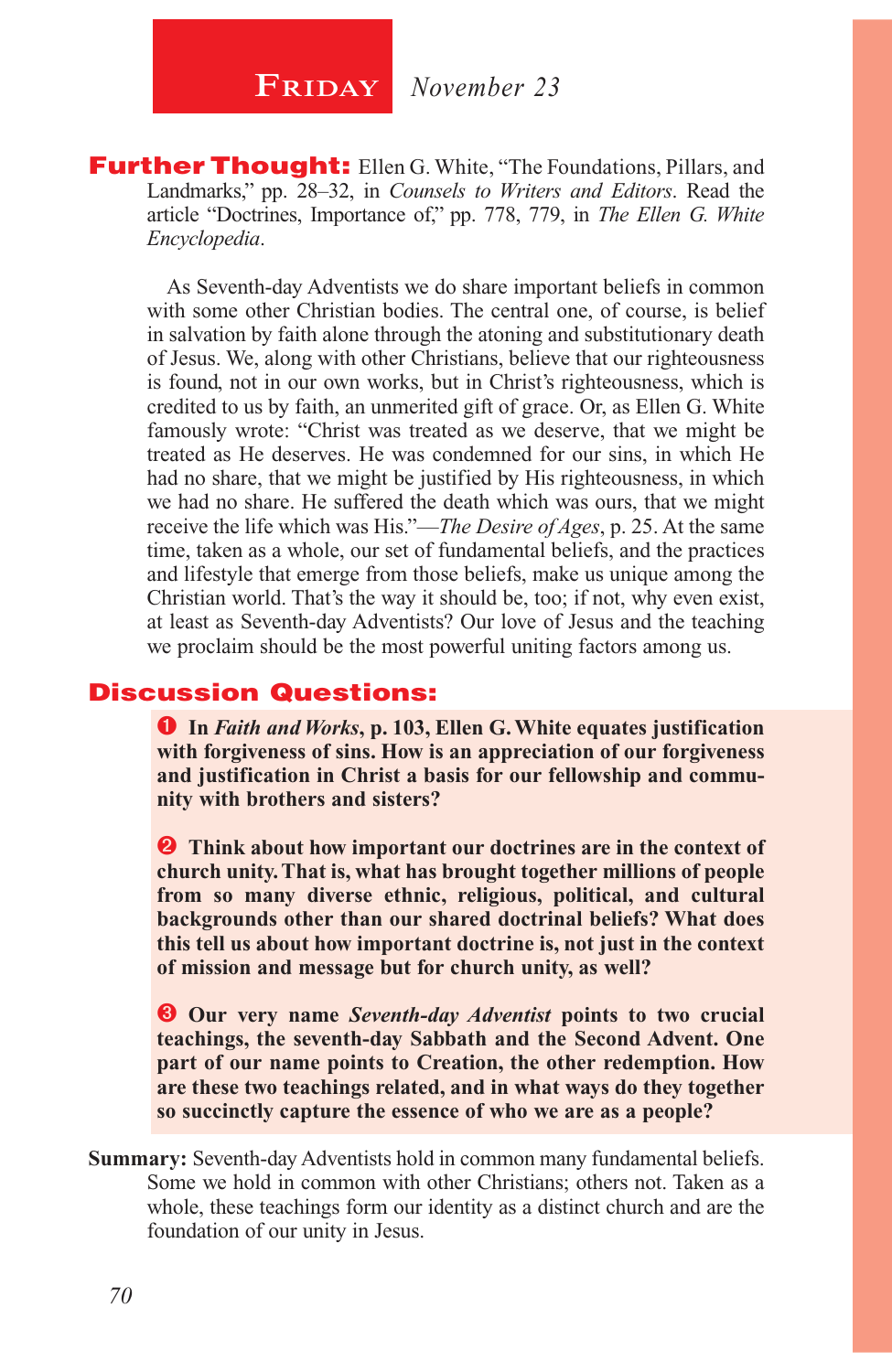**FRIDAY** November 23

**Further Thought:** Ellen G. White, "The Foundations, Pillars, and Landmarks," pp. 28–32, in *Counsels to Writers and Editors*. Read the article "Doctrines, Importance of," pp. 778, 779, in *The Ellen G. White Encyclopedia*.

As Seventh-day Adventists we do share important beliefs in common with some other Christian bodies. The central one, of course, is belief in salvation by faith alone through the atoning and substitutionary death of Jesus. We, along with other Christians, believe that our righteousness is found, not in our own works, but in Christ's righteousness, which is credited to us by faith, an unmerited gift of grace. Or, as Ellen G. White famously wrote: "Christ was treated as we deserve, that we might be treated as He deserves. He was condemned for our sins, in which He had no share, that we might be justified by His righteousness, in which we had no share. He suffered the death which was ours, that we might receive the life which was His."—*The Desire of Ages*, p. 25. At the same time, taken as a whole, our set of fundamental beliefs, and the practices and lifestyle that emerge from those beliefs, make us unique among the Christian world. That's the way it should be, too; if not, why even exist, at least as Seventh-day Adventists? Our love of Jesus and the teaching we proclaim should be the most powerful uniting factors among us.

#### Discussion Questions:

 **In** *Faith and Works***, p. 103, Ellen G. White equates justification with forgiveness of sins. How is an appreciation of our forgiveness and justification in Christ a basis for our fellowship and community with brothers and sisters?**

**2** Think about how important our doctrines are in the context of **church unity. That is, what has brought together millions of people from so many diverse ethnic, religious, political, and cultural backgrounds other than our shared doctrinal beliefs? What does this tell us about how important doctrine is, not just in the context of mission and message but for church unity, as well?**

 **Our very name** *Seventh-day Adventist* **points to two crucial teachings, the seventh-day Sabbath and the Second Advent. One part of our name points to Creation, the other redemption. How are these two teachings related, and in what ways do they together so succinctly capture the essence of who we are as a people?**

**Summary:** Seventh-day Adventists hold in common many fundamental beliefs. Some we hold in common with other Christians; others not. Taken as a whole, these teachings form our identity as a distinct church and are the foundation of our unity in Jesus.